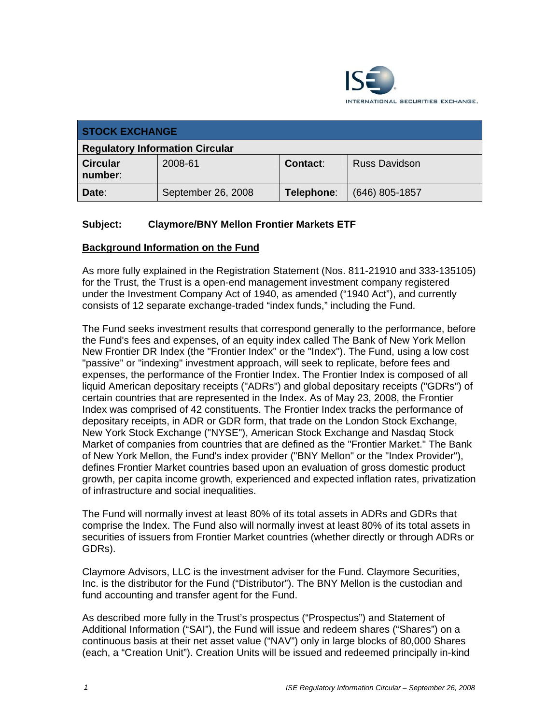

| <b>STOCK EXCHANGE</b>                  |                    |                 |                      |
|----------------------------------------|--------------------|-----------------|----------------------|
| <b>Regulatory Information Circular</b> |                    |                 |                      |
| <b>Circular</b><br>number:             | 2008-61            | <b>Contact:</b> | <b>Russ Davidson</b> |
| Date:                                  | September 26, 2008 | Telephone:      | $(646)$ 805-1857     |

# **Subject: Claymore/BNY Mellon Frontier Markets ETF**

#### **Background Information on the Fund**

As more fully explained in the Registration Statement (Nos. 811-21910 and 333-135105) for the Trust, the Trust is a open-end management investment company registered under the Investment Company Act of 1940, as amended ("1940 Act"), and currently consists of 12 separate exchange-traded "index funds," including the Fund.

The Fund seeks investment results that correspond generally to the performance, before the Fund's fees and expenses, of an equity index called The Bank of New York Mellon New Frontier DR Index (the "Frontier Index" or the "Index"). The Fund, using a low cost "passive" or "indexing" investment approach, will seek to replicate, before fees and expenses, the performance of the Frontier Index. The Frontier Index is composed of all liquid American depositary receipts ("ADRs") and global depositary receipts ("GDRs") of certain countries that are represented in the Index. As of May 23, 2008, the Frontier Index was comprised of 42 constituents. The Frontier Index tracks the performance of depositary receipts, in ADR or GDR form, that trade on the London Stock Exchange, New York Stock Exchange ("NYSE"), American Stock Exchange and Nasdaq Stock Market of companies from countries that are defined as the "Frontier Market." The Bank of New York Mellon, the Fund's index provider ("BNY Mellon" or the "Index Provider"), defines Frontier Market countries based upon an evaluation of gross domestic product growth, per capita income growth, experienced and expected inflation rates, privatization of infrastructure and social inequalities.

The Fund will normally invest at least 80% of its total assets in ADRs and GDRs that comprise the Index. The Fund also will normally invest at least 80% of its total assets in securities of issuers from Frontier Market countries (whether directly or through ADRs or GDRs).

Claymore Advisors, LLC is the investment adviser for the Fund. Claymore Securities, Inc. is the distributor for the Fund ("Distributor"). The BNY Mellon is the custodian and fund accounting and transfer agent for the Fund.

As described more fully in the Trust's prospectus ("Prospectus") and Statement of Additional Information ("SAI"), the Fund will issue and redeem shares ("Shares") on a continuous basis at their net asset value ("NAV") only in large blocks of 80,000 Shares (each, a "Creation Unit"). Creation Units will be issued and redeemed principally in-kind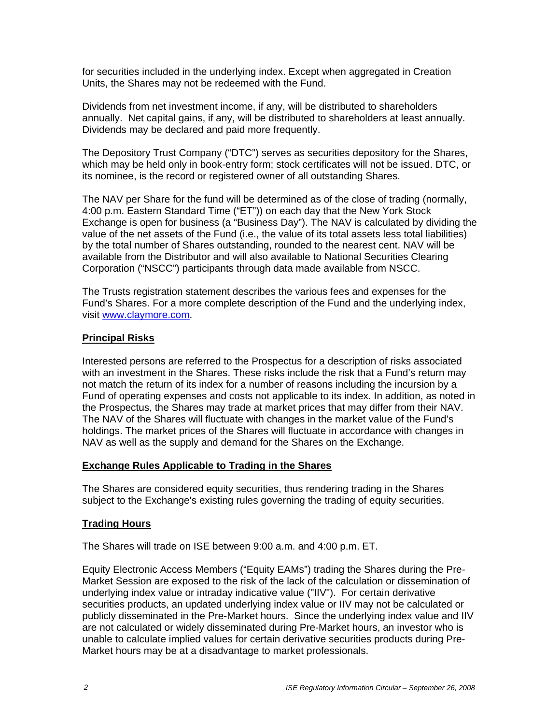for securities included in the underlying index. Except when aggregated in Creation Units, the Shares may not be redeemed with the Fund.

Dividends from net investment income, if any, will be distributed to shareholders annually. Net capital gains, if any, will be distributed to shareholders at least annually. Dividends may be declared and paid more frequently.

The Depository Trust Company ("DTC") serves as securities depository for the Shares, which may be held only in book-entry form; stock certificates will not be issued. DTC, or its nominee, is the record or registered owner of all outstanding Shares.

The NAV per Share for the fund will be determined as of the close of trading (normally, 4:00 p.m. Eastern Standard Time ("ET")) on each day that the New York Stock Exchange is open for business (a "Business Day"). The NAV is calculated by dividing the value of the net assets of the Fund (i.e., the value of its total assets less total liabilities) by the total number of Shares outstanding, rounded to the nearest cent. NAV will be available from the Distributor and will also available to National Securities Clearing Corporation ("NSCC") participants through data made available from NSCC.

The Trusts registration statement describes the various fees and expenses for the Fund's Shares. For a more complete description of the Fund and the underlying index, visit www.claymore.com.

#### **Principal Risks**

Interested persons are referred to the Prospectus for a description of risks associated with an investment in the Shares. These risks include the risk that a Fund's return may not match the return of its index for a number of reasons including the incursion by a Fund of operating expenses and costs not applicable to its index. In addition, as noted in the Prospectus, the Shares may trade at market prices that may differ from their NAV. The NAV of the Shares will fluctuate with changes in the market value of the Fund's holdings. The market prices of the Shares will fluctuate in accordance with changes in NAV as well as the supply and demand for the Shares on the Exchange.

### **Exchange Rules Applicable to Trading in the Shares**

The Shares are considered equity securities, thus rendering trading in the Shares subject to the Exchange's existing rules governing the trading of equity securities.

### **Trading Hours**

The Shares will trade on ISE between 9:00 a.m. and 4:00 p.m. ET.

Equity Electronic Access Members ("Equity EAMs") trading the Shares during the Pre-Market Session are exposed to the risk of the lack of the calculation or dissemination of underlying index value or intraday indicative value ("IIV"). For certain derivative securities products, an updated underlying index value or IIV may not be calculated or publicly disseminated in the Pre-Market hours. Since the underlying index value and IIV are not calculated or widely disseminated during Pre-Market hours, an investor who is unable to calculate implied values for certain derivative securities products during Pre-Market hours may be at a disadvantage to market professionals.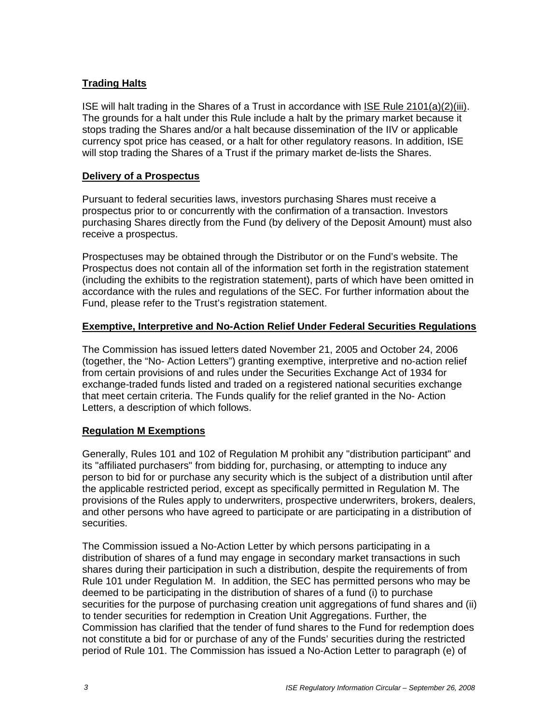## **Trading Halts**

ISE will halt trading in the Shares of a Trust in accordance with ISE Rule 2101(a)(2)(iii). The grounds for a halt under this Rule include a halt by the primary market because it stops trading the Shares and/or a halt because dissemination of the IIV or applicable currency spot price has ceased, or a halt for other regulatory reasons. In addition, ISE will stop trading the Shares of a Trust if the primary market de-lists the Shares.

### **Delivery of a Prospectus**

Pursuant to federal securities laws, investors purchasing Shares must receive a prospectus prior to or concurrently with the confirmation of a transaction. Investors purchasing Shares directly from the Fund (by delivery of the Deposit Amount) must also receive a prospectus.

Prospectuses may be obtained through the Distributor or on the Fund's website. The Prospectus does not contain all of the information set forth in the registration statement (including the exhibits to the registration statement), parts of which have been omitted in accordance with the rules and regulations of the SEC. For further information about the Fund, please refer to the Trust's registration statement.

# **Exemptive, Interpretive and No-Action Relief Under Federal Securities Regulations**

The Commission has issued letters dated November 21, 2005 and October 24, 2006 (together, the "No- Action Letters") granting exemptive, interpretive and no-action relief from certain provisions of and rules under the Securities Exchange Act of 1934 for exchange-traded funds listed and traded on a registered national securities exchange that meet certain criteria. The Funds qualify for the relief granted in the No- Action Letters, a description of which follows.

# **Regulation M Exemptions**

Generally, Rules 101 and 102 of Regulation M prohibit any "distribution participant" and its "affiliated purchasers" from bidding for, purchasing, or attempting to induce any person to bid for or purchase any security which is the subject of a distribution until after the applicable restricted period, except as specifically permitted in Regulation M. The provisions of the Rules apply to underwriters, prospective underwriters, brokers, dealers, and other persons who have agreed to participate or are participating in a distribution of securities.

The Commission issued a No-Action Letter by which persons participating in a distribution of shares of a fund may engage in secondary market transactions in such shares during their participation in such a distribution, despite the requirements of from Rule 101 under Regulation M. In addition, the SEC has permitted persons who may be deemed to be participating in the distribution of shares of a fund (i) to purchase securities for the purpose of purchasing creation unit aggregations of fund shares and (ii) to tender securities for redemption in Creation Unit Aggregations. Further, the Commission has clarified that the tender of fund shares to the Fund for redemption does not constitute a bid for or purchase of any of the Funds' securities during the restricted period of Rule 101. The Commission has issued a No-Action Letter to paragraph (e) of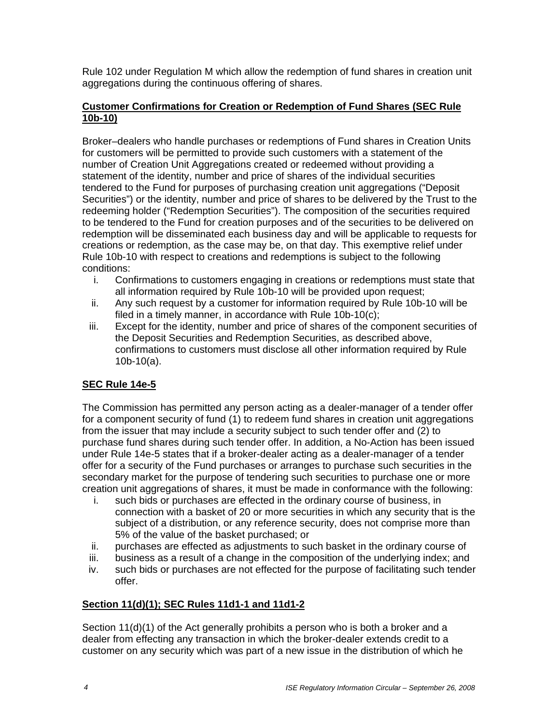Rule 102 under Regulation M which allow the redemption of fund shares in creation unit aggregations during the continuous offering of shares.

### **Customer Confirmations for Creation or Redemption of Fund Shares (SEC Rule 10b-10)**

Broker–dealers who handle purchases or redemptions of Fund shares in Creation Units for customers will be permitted to provide such customers with a statement of the number of Creation Unit Aggregations created or redeemed without providing a statement of the identity, number and price of shares of the individual securities tendered to the Fund for purposes of purchasing creation unit aggregations ("Deposit Securities") or the identity, number and price of shares to be delivered by the Trust to the redeeming holder ("Redemption Securities"). The composition of the securities required to be tendered to the Fund for creation purposes and of the securities to be delivered on redemption will be disseminated each business day and will be applicable to requests for creations or redemption, as the case may be, on that day. This exemptive relief under Rule 10b-10 with respect to creations and redemptions is subject to the following conditions:

- i. Confirmations to customers engaging in creations or redemptions must state that all information required by Rule 10b-10 will be provided upon request;
- ii. Any such request by a customer for information required by Rule 10b-10 will be filed in a timely manner, in accordance with Rule 10b-10(c);
- iii. Except for the identity, number and price of shares of the component securities of the Deposit Securities and Redemption Securities, as described above, confirmations to customers must disclose all other information required by Rule  $10b-10(a)$ .

# **SEC Rule 14e-5**

The Commission has permitted any person acting as a dealer-manager of a tender offer for a component security of fund (1) to redeem fund shares in creation unit aggregations from the issuer that may include a security subject to such tender offer and (2) to purchase fund shares during such tender offer. In addition, a No-Action has been issued under Rule 14e-5 states that if a broker-dealer acting as a dealer-manager of a tender offer for a security of the Fund purchases or arranges to purchase such securities in the secondary market for the purpose of tendering such securities to purchase one or more creation unit aggregations of shares, it must be made in conformance with the following:

- i. such bids or purchases are effected in the ordinary course of business, in connection with a basket of 20 or more securities in which any security that is the subject of a distribution, or any reference security, does not comprise more than 5% of the value of the basket purchased; or
- ii. purchases are effected as adjustments to such basket in the ordinary course of
- iii. business as a result of a change in the composition of the underlying index; and
- iv. such bids or purchases are not effected for the purpose of facilitating such tender offer.

### **Section 11(d)(1); SEC Rules 11d1-1 and 11d1-2**

Section 11(d)(1) of the Act generally prohibits a person who is both a broker and a dealer from effecting any transaction in which the broker-dealer extends credit to a customer on any security which was part of a new issue in the distribution of which he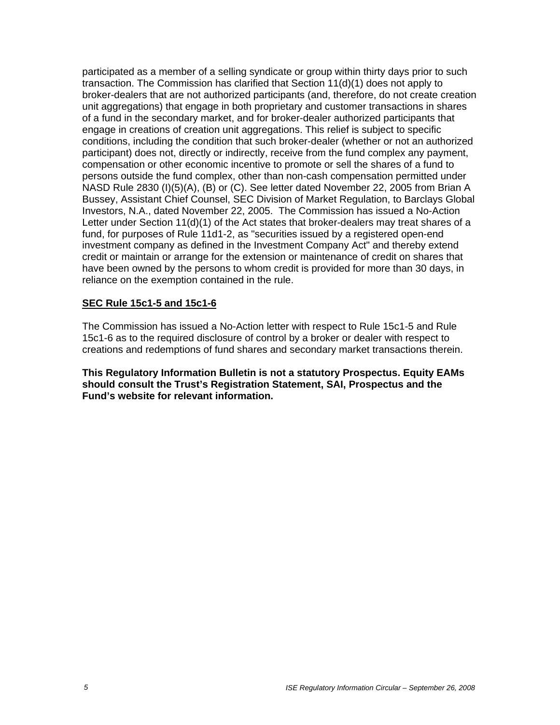participated as a member of a selling syndicate or group within thirty days prior to such transaction. The Commission has clarified that Section 11(d)(1) does not apply to broker-dealers that are not authorized participants (and, therefore, do not create creation unit aggregations) that engage in both proprietary and customer transactions in shares of a fund in the secondary market, and for broker-dealer authorized participants that engage in creations of creation unit aggregations. This relief is subject to specific conditions, including the condition that such broker-dealer (whether or not an authorized participant) does not, directly or indirectly, receive from the fund complex any payment, compensation or other economic incentive to promote or sell the shares of a fund to persons outside the fund complex, other than non-cash compensation permitted under NASD Rule 2830 (I)(5)(A), (B) or (C). See letter dated November 22, 2005 from Brian A Bussey, Assistant Chief Counsel, SEC Division of Market Regulation, to Barclays Global Investors, N.A., dated November 22, 2005. The Commission has issued a No-Action Letter under Section 11(d)(1) of the Act states that broker-dealers may treat shares of a fund, for purposes of Rule 11d1-2, as "securities issued by a registered open-end investment company as defined in the Investment Company Act" and thereby extend credit or maintain or arrange for the extension or maintenance of credit on shares that have been owned by the persons to whom credit is provided for more than 30 days, in reliance on the exemption contained in the rule.

#### **SEC Rule 15c1-5 and 15c1-6**

The Commission has issued a No-Action letter with respect to Rule 15c1-5 and Rule 15c1-6 as to the required disclosure of control by a broker or dealer with respect to creations and redemptions of fund shares and secondary market transactions therein.

**This Regulatory Information Bulletin is not a statutory Prospectus. Equity EAMs should consult the Trust's Registration Statement, SAI, Prospectus and the Fund's website for relevant information.**